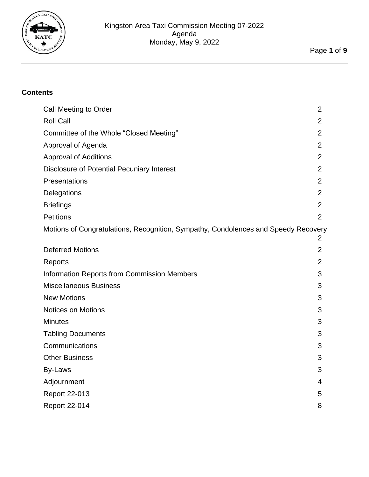

# **Contents**

| Call Meeting to Order                                                              | $\overline{2}$ |
|------------------------------------------------------------------------------------|----------------|
| <b>Roll Call</b>                                                                   | $\overline{2}$ |
| Committee of the Whole "Closed Meeting"                                            | $\overline{2}$ |
| Approval of Agenda                                                                 | $\overline{2}$ |
| <b>Approval of Additions</b>                                                       | $\overline{2}$ |
| <b>Disclosure of Potential Pecuniary Interest</b>                                  | $\overline{2}$ |
| Presentations                                                                      | $\overline{2}$ |
| Delegations                                                                        | $\overline{2}$ |
| <b>Briefings</b>                                                                   | $\overline{2}$ |
| <b>Petitions</b>                                                                   | $\overline{2}$ |
| Motions of Congratulations, Recognition, Sympathy, Condolences and Speedy Recovery | 2              |
| <b>Deferred Motions</b>                                                            | $\overline{2}$ |
| Reports                                                                            | $\overline{2}$ |
| <b>Information Reports from Commission Members</b>                                 | 3              |
| <b>Miscellaneous Business</b>                                                      | 3              |
| <b>New Motions</b>                                                                 | 3              |
| <b>Notices on Motions</b>                                                          | 3              |
| <b>Minutes</b>                                                                     | 3              |
| <b>Tabling Documents</b>                                                           | 3              |
| Communications                                                                     | 3              |
| <b>Other Business</b>                                                              | 3              |
| By-Laws                                                                            | 3              |
| Adjournment                                                                        | 4              |
| <b>Report 22-013</b>                                                               | 5              |
| <b>Report 22-014</b>                                                               | 8              |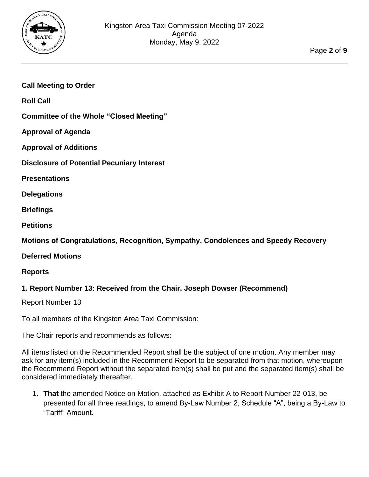

## <span id="page-1-0"></span>**Call Meeting to Order**

<span id="page-1-1"></span>**Roll Call**

<span id="page-1-3"></span><span id="page-1-2"></span>**Committee of the Whole "Closed Meeting"**

<span id="page-1-4"></span>**Approval of Agenda**

**Approval of Additions**

<span id="page-1-5"></span>**Disclosure of Potential Pecuniary Interest**

<span id="page-1-6"></span>**Presentations**

<span id="page-1-8"></span><span id="page-1-7"></span>**Delegations**

<span id="page-1-9"></span>**Briefings**

**Petitions**

<span id="page-1-10"></span>**Motions of Congratulations, Recognition, Sympathy, Condolences and Speedy Recovery**

<span id="page-1-11"></span>**Deferred Motions**

<span id="page-1-12"></span>**Reports**

#### **1. Report Number 13: Received from the Chair, Joseph Dowser (Recommend)**

Report Number 13

To all members of the Kingston Area Taxi Commission:

The Chair reports and recommends as follows:

All items listed on the Recommended Report shall be the subject of one motion. Any member may ask for any item(s) included in the Recommend Report to be separated from that motion, whereupon the Recommend Report without the separated item(s) shall be put and the separated item(s) shall be considered immediately thereafter.

1. **That** the amended Notice on Motion, attached as Exhibit A to Report Number 22-013, be presented for all three readings, to amend By-Law Number 2, Schedule "A", being a By-Law to "Tariff" Amount.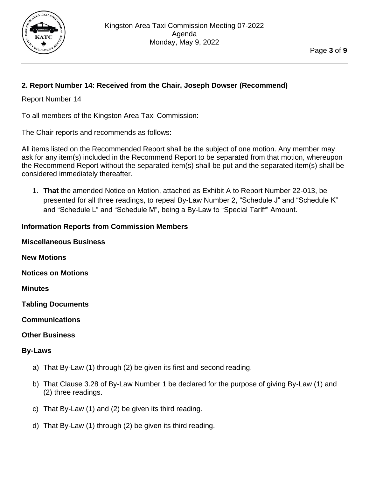

# **2. Report Number 14: Received from the Chair, Joseph Dowser (Recommend)**

### Report Number 14

To all members of the Kingston Area Taxi Commission:

The Chair reports and recommends as follows:

All items listed on the Recommended Report shall be the subject of one motion. Any member may ask for any item(s) included in the Recommend Report to be separated from that motion, whereupon the Recommend Report without the separated item(s) shall be put and the separated item(s) shall be considered immediately thereafter.

1. **That** the amended Notice on Motion, attached as Exhibit A to Report Number 22-013, be presented for all three readings, to repeal By-Law Number 2, "Schedule J" and "Schedule K" and "Schedule L" and "Schedule M", being a By-Law to "Special Tariff" Amount.

### <span id="page-2-1"></span><span id="page-2-0"></span>**Information Reports from Commission Members**

<span id="page-2-3"></span><span id="page-2-2"></span>

| <b>Miscellaneous Business</b> |
|-------------------------------|
| <b>New Motions</b>            |
| <b>Notices on Motions</b>     |

<span id="page-2-4"></span>**Minutes**

<span id="page-2-5"></span>**Tabling Documents**

<span id="page-2-6"></span>**Communications**

#### <span id="page-2-7"></span>**Other Business**

#### <span id="page-2-8"></span>**By-Laws**

- a) That By-Law (1) through (2) be given its first and second reading.
- b) That Clause 3.28 of By-Law Number 1 be declared for the purpose of giving By-Law (1) and (2) three readings.
- c) That By-Law (1) and (2) be given its third reading.
- d) That By-Law (1) through (2) be given its third reading.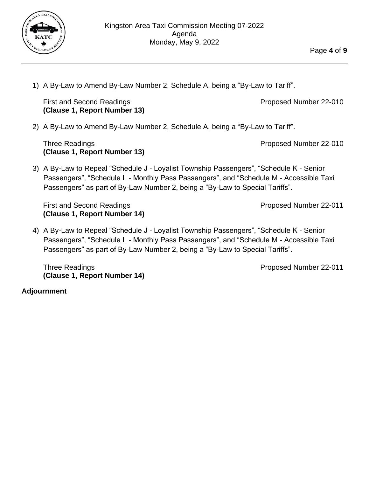

1) A By-Law to Amend By-Law Number 2, Schedule A, being a "By-Law to Tariff".

First and Second Readings **Proposed Number 22-010 (Clause 1, Report Number 13)**

2) A By-Law to Amend By-Law Number 2, Schedule A, being a "By-Law to Tariff".

Three Readings **Proposed Number 22-010 (Clause 1, Report Number 13)**

3) A By-Law to Repeal "Schedule J - Loyalist Township Passengers", "Schedule K - Senior Passengers", "Schedule L - Monthly Pass Passengers", and "Schedule M - Accessible Taxi Passengers" as part of By-Law Number 2, being a "By-Law to Special Tariffs".

First and Second Readings **Proposed Number 22-011 (Clause 1, Report Number 14)**

4) A By-Law to Repeal "Schedule J - Loyalist Township Passengers", "Schedule K - Senior Passengers", "Schedule L - Monthly Pass Passengers", and "Schedule M - Accessible Taxi Passengers" as part of By-Law Number 2, being a "By-Law to Special Tariffs".

Three Readings **Proposed Number 22-011 (Clause 1, Report Number 14)**

<span id="page-3-0"></span>**Adjournment**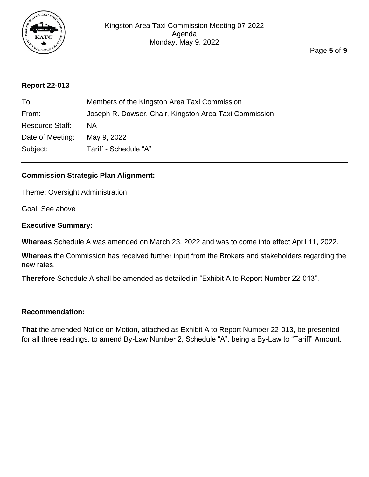

### <span id="page-4-0"></span>**Report 22-013**

| To:                    | Members of the Kingston Area Taxi Commission           |
|------------------------|--------------------------------------------------------|
| From:                  | Joseph R. Dowser, Chair, Kingston Area Taxi Commission |
| <b>Resource Staff:</b> | ΝA                                                     |
| Date of Meeting:       | May 9, 2022                                            |
| Subject:               | Tariff - Schedule "A"                                  |

## **Commission Strategic Plan Alignment:**

Theme: Oversight Administration

Goal: See above

#### **Executive Summary:**

**Whereas** Schedule A was amended on March 23, 2022 and was to come into effect April 11, 2022.

**Whereas** the Commission has received further input from the Brokers and stakeholders regarding the new rates.

**Therefore** Schedule A shall be amended as detailed in "Exhibit A to Report Number 22-013".

#### **Recommendation:**

**That** the amended Notice on Motion, attached as Exhibit A to Report Number 22-013, be presented for all three readings, to amend By-Law Number 2, Schedule "A", being a By-Law to "Tariff" Amount.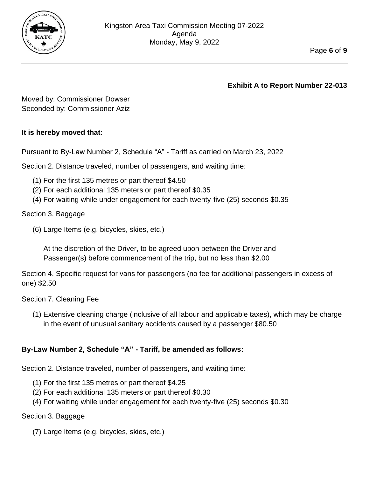

**Exhibit A to Report Number 22-013**

Moved by: Commissioner Dowser Seconded by: Commissioner Aziz

## **It is hereby moved that:**

Pursuant to By-Law Number 2, Schedule "A" - Tariff as carried on March 23, 2022

Section 2. Distance traveled, number of passengers, and waiting time:

- (1) For the first 135 metres or part thereof \$4.50
- (2) For each additional 135 meters or part thereof \$0.35
- (4) For waiting while under engagement for each twenty-five (25) seconds \$0.35

Section 3. Baggage

(6) Large Items (e.g. bicycles, skies, etc.)

At the discretion of the Driver, to be agreed upon between the Driver and Passenger(s) before commencement of the trip, but no less than \$2.00

Section 4. Specific request for vans for passengers (no fee for additional passengers in excess of one) \$2.50

Section 7. Cleaning Fee

(1) Extensive cleaning charge (inclusive of all labour and applicable taxes), which may be charge in the event of unusual sanitary accidents caused by a passenger \$80.50

# **By-Law Number 2, Schedule "A" - Tariff, be amended as follows:**

Section 2. Distance traveled, number of passengers, and waiting time:

- (1) For the first 135 metres or part thereof \$4.25
- (2) For each additional 135 meters or part thereof \$0.30
- (4) For waiting while under engagement for each twenty-five (25) seconds \$0.30

### Section 3. Baggage

(7) Large Items (e.g. bicycles, skies, etc.)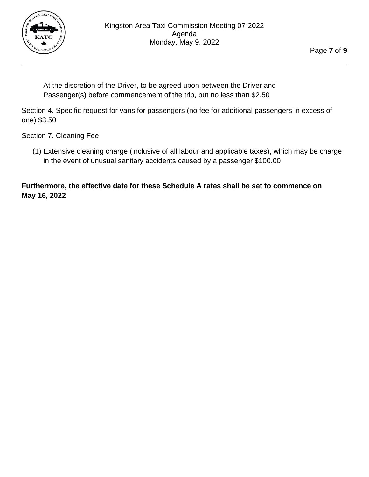

At the discretion of the Driver, to be agreed upon between the Driver and Passenger(s) before commencement of the trip, but no less than \$2.50

Section 4. Specific request for vans for passengers (no fee for additional passengers in excess of one) \$3.50

Section 7. Cleaning Fee

(1) Extensive cleaning charge (inclusive of all labour and applicable taxes), which may be charge in the event of unusual sanitary accidents caused by a passenger \$100.00

**Furthermore, the effective date for these Schedule A rates shall be set to commence on May 16, 2022**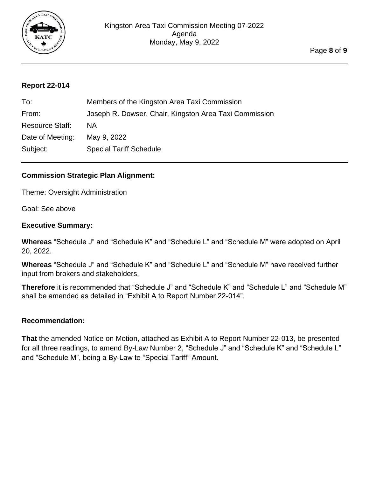

#### <span id="page-7-0"></span>**Report 22-014**

| To:                    | Members of the Kingston Area Taxi Commission           |
|------------------------|--------------------------------------------------------|
| From:                  | Joseph R. Dowser, Chair, Kingston Area Taxi Commission |
| <b>Resource Staff:</b> | ΝA                                                     |
| Date of Meeting:       | May 9, 2022                                            |
| Subject:               | <b>Special Tariff Schedule</b>                         |

## **Commission Strategic Plan Alignment:**

Theme: Oversight Administration

Goal: See above

#### **Executive Summary:**

**Whereas** "Schedule J" and "Schedule K" and "Schedule L" and "Schedule M" were adopted on April 20, 2022.

**Whereas** "Schedule J" and "Schedule K" and "Schedule L" and "Schedule M" have received further input from brokers and stakeholders.

**Therefore** it is recommended that "Schedule J" and "Schedule K" and "Schedule L" and "Schedule M" shall be amended as detailed in "Exhibit A to Report Number 22-014".

#### **Recommendation:**

**That** the amended Notice on Motion, attached as Exhibit A to Report Number 22-013, be presented for all three readings, to amend By-Law Number 2, "Schedule J" and "Schedule K" and "Schedule L" and "Schedule M", being a By-Law to "Special Tariff" Amount.